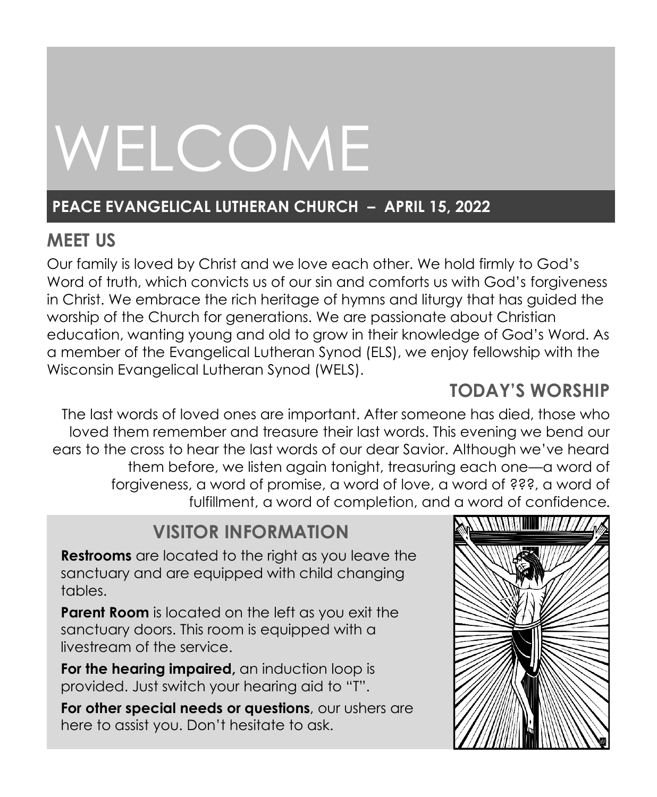# WELCOME

# **PEACE EVANGELICAL LUTHERAN CHURCH – APRIL 15, 2022**

# **MEET US**

Our family is loved by Christ and we love each other. We hold firmly to God's Word of truth, which convicts us of our sin and comforts us with God's forgiveness in Christ. We embrace the rich heritage of hymns and liturgy that has guided the worship of the Church for generations. We are passionate about Christian education, wanting young and old to grow in their knowledge of God's Word. As a member of the Evangelical Lutheran Synod (ELS), we enjoy fellowship with the Wisconsin Evangelical Lutheran Synod (WELS).

# **TODAY'S WORSHIP**

The last words of loved ones are important. After someone has died, those who loved them remember and treasure their last words. This evening we bend our ears to the cross to hear the last words of our dear Savior. Although we've heard them before, we listen again tonight, treasuring each one—a word of forgiveness, a word of promise, a word of love, a word of ???, a word of fulfillment, a word of completion, and a word of confidence.

# **VISITOR INFORMATION**

**Restrooms** are located to the right as you leave the sanctuary and are equipped with child changing tables.

**Parent Room** is located on the left as you exit the sanctuary doors. This room is equipped with a livestream of the service.

For the hearing impaired, an induction loop is provided. Just switch your hearing aid to "T".

**For other special needs or questions**, our ushers are here to assist you. Don't hesitate to ask.

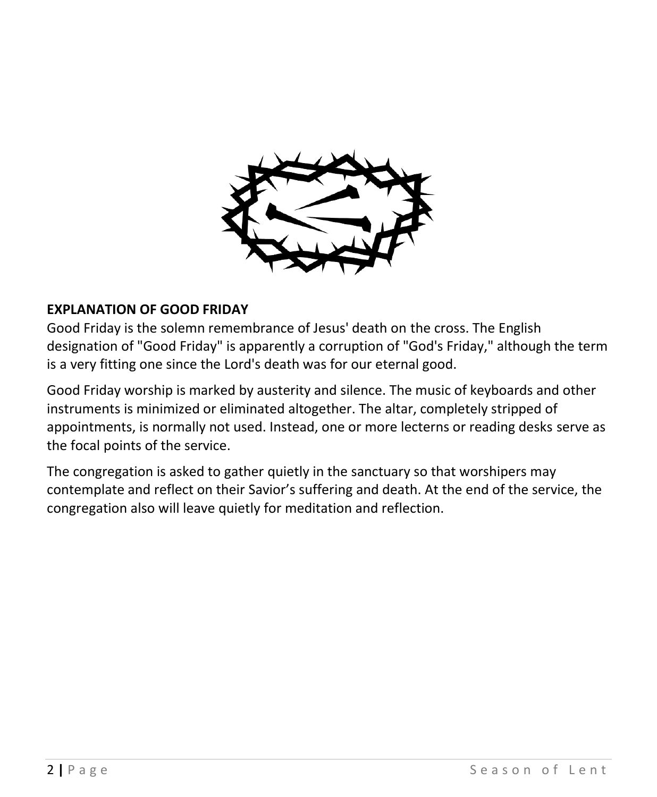

### **EXPLANATION OF GOOD FRIDAY**

Good Friday is the solemn remembrance of Jesus' death on the cross. The English designation of "Good Friday" is apparently a corruption of "God's Friday," although the term is a very fitting one since the Lord's death was for our eternal good.

Good Friday worship is marked by austerity and silence. The music of keyboards and other instruments is minimized or eliminated altogether. The altar, completely stripped of appointments, is normally not used. Instead, one or more lecterns or reading desks serve as the focal points of the service.

The congregation is asked to gather quietly in the sanctuary so that worshipers may contemplate and reflect on their Savior's suffering and death. At the end of the service, the congregation also will leave quietly for meditation and reflection.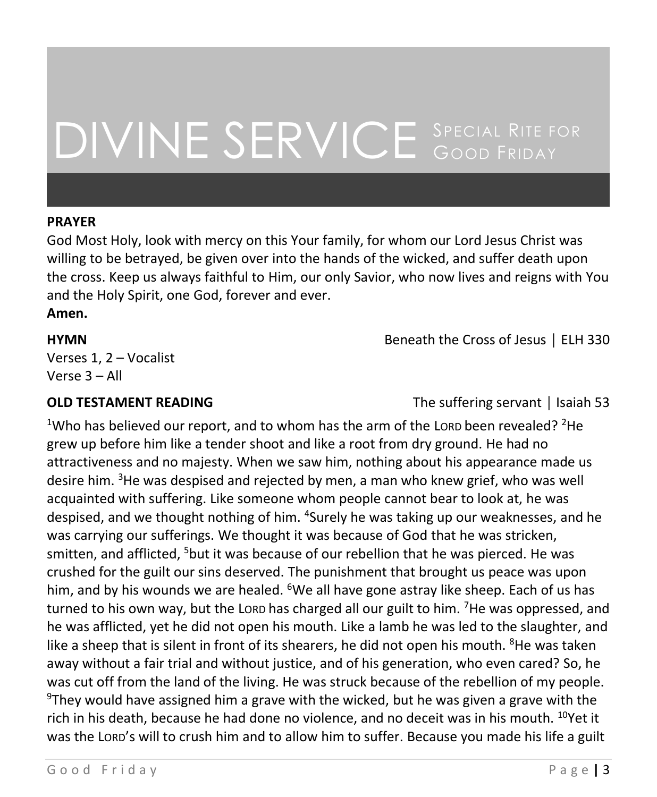# DIVINE SERVICE SPECIAL RITE FOR

### **PRAYER**

God Most Holy, look with mercy on this Your family, for whom our Lord Jesus Christ was willing to be betrayed, be given over into the hands of the wicked, and suffer death upon the cross. Keep us always faithful to Him, our only Savior, who now lives and reigns with You and the Holy Spirit, one God, forever and ever.

### **Amen.**

Verses 1, 2 – Vocalist Verse 3 – All

**HYMN** Beneath the Cross of Jesus │ ELH 330

**OLD TESTAMENT READING** The suffering servant | Isaiah 53

<sup>1</sup>Who has believed our report, and to whom has the arm of the LORD been revealed? <sup>2</sup>He grew up before him like a tender shoot and like a root from dry ground. He had no attractiveness and no majesty. When we saw him, nothing about his appearance made us desire him. <sup>3</sup>He was despised and rejected by men, a man who knew grief, who was well acquainted with suffering. Like someone whom people cannot bear to look at, he was despised, and we thought nothing of him. <sup>4</sup>Surely he was taking up our weaknesses, and he was carrying our sufferings. We thought it was because of God that he was stricken, smitten, and afflicted, <sup>5</sup>but it was because of our rebellion that he was pierced. He was crushed for the guilt our sins deserved. The punishment that brought us peace was upon him, and by his wounds we are healed. <sup>6</sup>We all have gone astray like sheep. Each of us has turned to his own way, but the LORD has charged all our guilt to him. <sup>7</sup>He was oppressed, and he was afflicted, yet he did not open his mouth. Like a lamb he was led to the slaughter, and like a sheep that is silent in front of its shearers, he did not open his mouth.  $8$ He was taken away without a fair trial and without justice, and of his generation, who even cared? So, he was cut off from the land of the living. He was struck because of the rebellion of my people.  $9$ They would have assigned him a grave with the wicked, but he was given a grave with the rich in his death, because he had done no violence, and no deceit was in his mouth.  $^{10}$ Yet it was the LORD's will to crush him and to allow him to suffer. Because you made his life a guilt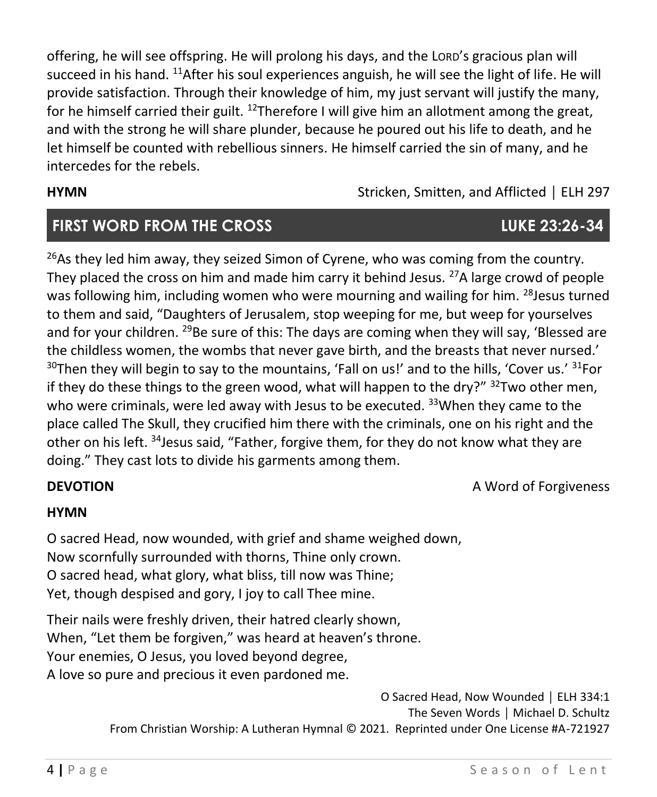offering, he will see offspring. He will prolong his days, and the LORD's gracious plan will succeed in his hand. <sup>11</sup>After his soul experiences anguish, he will see the light of life. He will provide satisfaction. Through their knowledge of him, my just servant will justify the many, for he himself carried their guilt.  $12$ Therefore I will give him an allotment among the great, and with the strong he will share plunder, because he poured out his life to death, and he let himself be counted with rebellious sinners. He himself carried the sin of many, and he intercedes for the rebels.

### **HYMN Stricken, Smitten, and Afflicted** | ELH 297

# FIRST WORD FROM THE CROSS **EXECUTE 23:26-34**

 $^{26}$ As they led him away, they seized Simon of Cyrene, who was coming from the country. They placed the cross on him and made him carry it behind Jesus.  $27A$  large crowd of people was following him, including women who were mourning and wailing for him. <sup>28</sup>Jesus turned to them and said, "Daughters of Jerusalem, stop weeping for me, but weep for yourselves and for your children. <sup>29</sup>Be sure of this: The days are coming when they will say, 'Blessed are the childless women, the wombs that never gave birth, and the breasts that never nursed.'  $30$ Then they will begin to say to the mountains, 'Fall on us!' and to the hills, 'Cover us.'  $31$ For if they do these things to the green wood, what will happen to the dry?"  $32$ Two other men, who were criminals, were led away with Jesus to be executed.  $33$ When they came to the place called The Skull, they crucified him there with the criminals, one on his right and the other on his left. <sup>34</sup> Jesus said, "Father, forgive them, for they do not know what they are doing." They cast lots to divide his garments among them.

**DEVOTION CONSUMING A WORK CONSUMING A WORK OF FORGIVENESS** 

### **HYMN**

O sacred Head, now wounded, with grief and shame weighed down, Now scornfully surrounded with thorns, Thine only crown. O sacred head, what glory, what bliss, till now was Thine; Yet, though despised and gory, I joy to call Thee mine.

Their nails were freshly driven, their hatred clearly shown, When, "Let them be forgiven," was heard at heaven's throne. Your enemies, O Jesus, you loved beyond degree, A love so pure and precious it even pardoned me.

> O Sacred Head, Now Wounded │ ELH 334:1 The Seven Words │ Michael D. Schultz From Christian Worship: A Lutheran Hymnal © 2021. Reprinted under One License #A-721927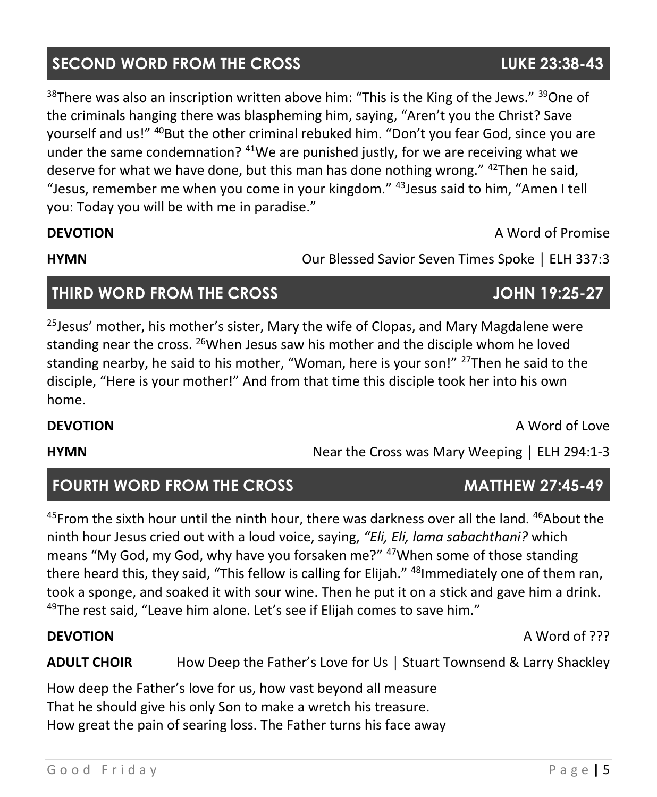# **SECOND WORD FROM THE CROSS LUKE 23:38-43**

 $38$ There was also an inscription written above him: "This is the King of the Jews."  $39$ One of the criminals hanging there was blaspheming him, saying, "Aren't you the Christ? Save yourself and us!" <sup>40</sup>But the other criminal rebuked him. "Don't you fear God, since you are under the same condemnation? <sup>41</sup>We are punished justly, for we are receiving what we deserve for what we have done, but this man has done nothing wrong." <sup>42</sup>Then he said, "Jesus, remember me when you come in your kingdom."  $43$  Jesus said to him, "Amen I tell you: Today you will be with me in paradise."

### **DEVOTION** A Word of Promise

**HYMN Our Blessed Savior Seven Times Spoke** │ ELH 337:3

# **THIRD WORD FROM THE CROSS JOHN 19:25-27**

 $25$ Jesus' mother, his mother's sister, Mary the wife of Clopas, and Mary Magdalene were standing near the cross.  $^{26}$ When Jesus saw his mother and the disciple whom he loved standing nearby, he said to his mother, "Woman, here is your son!" <sup>27</sup>Then he said to the disciple, "Here is your mother!" And from that time this disciple took her into his own home.

### **DEVOTION** A Word of Love

## HYMN **HYMN** Near the Cross was Mary Weeping | ELH 294:1-3

# **FOURTH WORD FROM THE CROSS MATTHEW 27:45-49**

 $45$  From the sixth hour until the ninth hour, there was darkness over all the land.  $46$ About the ninth hour Jesus cried out with a loud voice, saying, *"Eli, Eli, lama sabachthani?* which means "My God, my God, why have you forsaken me?" <sup>47</sup>When some of those standing there heard this, they said, "This fellow is calling for Elijah." <sup>48</sup>Immediately one of them ran, took a sponge, and soaked it with sour wine. Then he put it on a stick and gave him a drink. <sup>49</sup>The rest said, "Leave him alone. Let's see if Elijah comes to save him."

**ADULT CHOIR** How Deep the Father's Love for Us │ Stuart Townsend & Larry Shackley

How deep the Father's love for us, how vast beyond all measure That he should give his only Son to make a wretch his treasure. How great the pain of searing loss. The Father turns his face away

# **DEVOTION** A Word of ???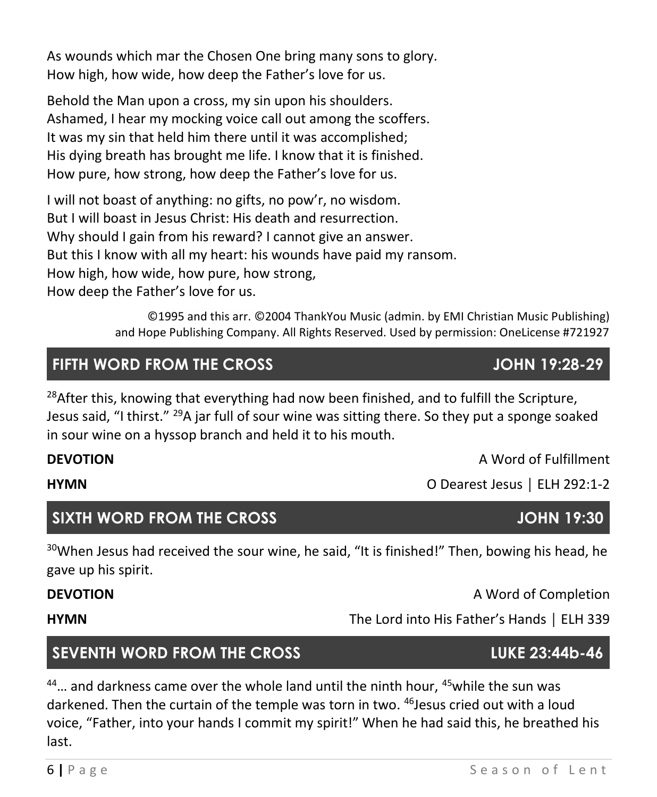As wounds which mar the Chosen One bring many sons to glory. How high, how wide, how deep the Father's love for us.

Behold the Man upon a cross, my sin upon his shoulders. Ashamed, I hear my mocking voice call out among the scoffers. It was my sin that held him there until it was accomplished; His dying breath has brought me life. I know that it is finished. How pure, how strong, how deep the Father's love for us.

I will not boast of anything: no gifts, no pow'r, no wisdom. But I will boast in Jesus Christ: His death and resurrection. Why should I gain from his reward? I cannot give an answer. But this I know with all my heart: his wounds have paid my ransom. How high, how wide, how pure, how strong, How deep the Father's love for us.

> ©1995 and this arr. ©2004 ThankYou Music (admin. by EMI Christian Music Publishing) and Hope Publishing Company. All Rights Reserved. Used by permission: OneLicense #721927

# **FIFTH WORD FROM THE CROSS JOHN 19:28-29**

<sup>28</sup>After this, knowing that everything had now been finished, and to fulfill the Scripture, Jesus said, "I thirst." <sup>29</sup>A jar full of sour wine was sitting there. So they put a sponge soaked in sour wine on a hyssop branch and held it to his mouth.

# **SIXTH WORD FROM THE CROSS JOHN 19:30**

 $30$ When Jesus had received the sour wine, he said, "It is finished!" Then, bowing his head, he gave up his spirit.

**DEVOTION A** Word of Completion

**HYMN** The Lord into His Father's Hands │ ELH 339

# **SEVENTH WORD FROM THE CROSS LUKE 23:44b-46**

 $44...$  and darkness came over the whole land until the ninth hour,  $45$  while the sun was darkened. Then the curtain of the temple was torn in two. <sup>46</sup>Jesus cried out with a loud voice, "Father, into your hands I commit my spirit!" When he had said this, he breathed his last.

**DEVOTION A** Word of Fulfillment

**HYMN** O Dearest Jesus │ ELH 292:1-2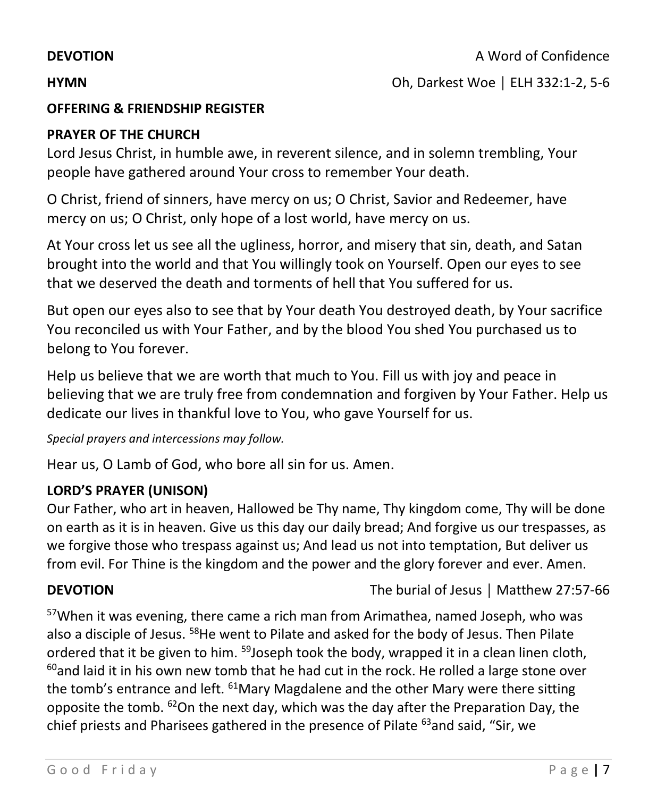### **DEVOTION A** Word of Confidence

**HYMN** Oh, Darkest Woe │ ELH 332:1-2, 5-6

### **OFFERING & FRIENDSHIP REGISTER**

### **PRAYER OF THE CHURCH**

Lord Jesus Christ, in humble awe, in reverent silence, and in solemn trembling, Your people have gathered around Your cross to remember Your death.

O Christ, friend of sinners, have mercy on us; O Christ, Savior and Redeemer, have mercy on us; O Christ, only hope of a lost world, have mercy on us.

At Your cross let us see all the ugliness, horror, and misery that sin, death, and Satan brought into the world and that You willingly took on Yourself. Open our eyes to see that we deserved the death and torments of hell that You suffered for us.

But open our eyes also to see that by Your death You destroyed death, by Your sacrifice You reconciled us with Your Father, and by the blood You shed You purchased us to belong to You forever.

Help us believe that we are worth that much to You. Fill us with joy and peace in believing that we are truly free from condemnation and forgiven by Your Father. Help us dedicate our lives in thankful love to You, who gave Yourself for us.

*Special prayers and intercessions may follow.*

Hear us, O Lamb of God, who bore all sin for us. Amen.

### **LORD'S PRAYER (UNISON)**

Our Father, who art in heaven, Hallowed be Thy name, Thy kingdom come, Thy will be done on earth as it is in heaven. Give us this day our daily bread; And forgive us our trespasses, as we forgive those who trespass against us; And lead us not into temptation, But deliver us from evil. For Thine is the kingdom and the power and the glory forever and ever. Amen.

**DEVOTION DEVOTION** The burial of Jesus │ Matthew 27:57-66

<sup>57</sup>When it was evening, there came a rich man from Arimathea, named Joseph, who was also a disciple of Jesus. <sup>58</sup>He went to Pilate and asked for the body of Jesus. Then Pilate ordered that it be given to him. <sup>59</sup>Joseph took the body, wrapped it in a clean linen cloth,  $60$ and laid it in his own new tomb that he had cut in the rock. He rolled a large stone over the tomb's entrance and left.  $^{61}$ Mary Magdalene and the other Mary were there sitting opposite the tomb.  $62$ On the next day, which was the day after the Preparation Day, the chief priests and Pharisees gathered in the presence of Pilate <sup>63</sup>and said, "Sir, we